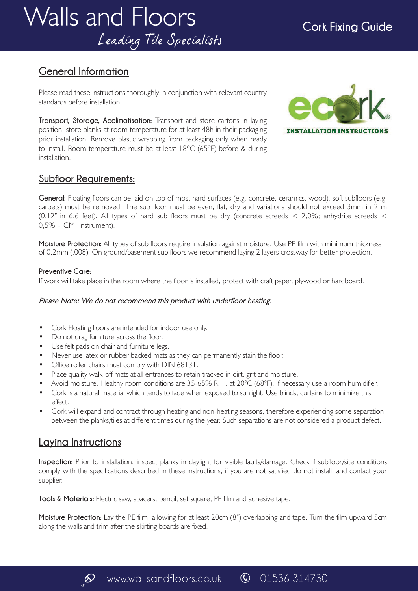# **General Information**

Please read these instructions thoroughly in conjunction with relevant country standards before installation.

**Transport, Storage, Acclimatisation:** Transport and store cartons in laying position, store planks at room temperature for at least 48h in their packaging prior installation. Remove plastic wrapping from packaging only when ready to install. Room temperature must be at least 18ºC (65ºF) before & during installation.



### **Subfloor Requirements:**

**General:** Floating floors can be laid on top of most hard surfaces (e.g. concrete, ceramics, wood), soft subfloors (e.g. carpets) must be removed. The sub floor must be even, flat, dry and variations should not exceed 3mm in 2 m (0.12" in 6.6 feet). All types of hard sub floors must be dry (concrete screeds < 2,0%; anhydrite screeds < 0,5% - CM instrument).

**Moisture Protection:** All types of sub floors require insulation against moisture. Use PE film with minimum thickness of 0,2mm (.008). On ground/basement sub floors we recommend laying 2 layers crossway for better protection.

#### **Preventive Care:**

If work will take place in the room where the floor is installed, protect with craft paper, plywood or hardboard.

#### Please Note: We do not recommend this product with underfloor heating.

- Cork Floating floors are intended for indoor use only.
- Do not drag furniture across the floor.
- Use felt pads on chair and furniture legs.
- Never use latex or rubber backed mats as they can permanently stain the floor.
- Office roller chairs must comply with DIN 68131.
- Place quality walk-off mats at all entrances to retain tracked in dirt, grit and moisture.
- Avoid moisture. Healthy room conditions are 35-65% R.H. at  $20^{\circ}C$  (68°F). If necessary use a room humidifier.
- Cork is a natural material which tends to fade when exposed to sunlight. Use blinds, curtains to minimize this effect.
- Cork will expand and contract through heating and non-heating seasons, therefore experiencing some separation between the planks/tiles at different times during the year. Such separations are not considered a product defect.

## **Laying Instructions**

**Inspection:** Prior to installation, inspect planks in daylight for visible faults/damage. Check if subfloor/site conditions comply with the specifications described in these instructions, if you are not satisfied do not install, and contact your supplier.

**Tools & Materials:** Electric saw, spacers, pencil, set square, PE film and adhesive tape.

**Moisture Protection:** Lay the PE film, allowing for at least 20cm (8") overlapping and tape. Turn the film upward 5cm along the walls and trim after the skirting boards are fixed.